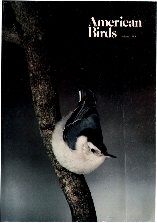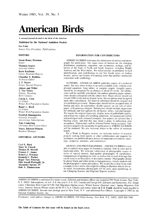## **American Birds**

**A seasonal journal devoted to the birds of the Americas** 

#### **Published by the National Audubon Society**

**Les Line Senior Vice President, Publications** 

#### **EDITORS**

**Susan Roney Drennan Editor Manuela Soares Associate Editor Kenn Kaufman Editor, Regional Reports Chandler S. Robbins Technical Editor J.P. Myers Editor**, **Special Projects Aldeen and Willet T. Van Velzen Editors, Breeding Bird Censuses Calvin L. Cink Co-Editor. Winter Bird-Population Studies Roger L. Boyd Co-Editor, Winter Bird-Population Studies Fredrick Baumgar ten Editorial Asxistant,' Advertising,' Subxcriptions Tony Leukering Christmas Bird Count Editor Nancy Johnson-Monroe Business Manager** 

#### **EDITORIAL ADVISORS**

**Carl E. Bock Mary H. Clench Thomas R. Howell Frances C. James Robert J. Newman Kenneth C. Parkes Roger Tory Peterson Olin Sewall Pettingill, Jr. Alexander Sprunt, IV Dale A. Zimmerman** 

#### **INFORMATION FOR CONTRIBUTORS**

**AMERICAN BIRDS welcomes the submission of articles and photographs for publication. Our major areas of interest are the changing**  distribution, population, migration, rare occurrence, ecology, and be**havior of the birds of North and South America, including Middle America and the West Indies. We solicit articles on problems in field identification, and contributions toour Site Guide series on birding locales, and to our Centers of Learning series that profiles institutions concerned with ornithology.** 

**AUTHORS--AMERICAN BIRDS publishes papers of a technical nature, but only when written in an easily readable style, without complicated equations, long tables, or complex graphs. Lengthy papers should be accompanied by an abstract of about 50 words. All submis•**  sions will be carefully considered, but authors planning major submis**sions should correspond with the editors first. Major articles should not exceed 3000 words and six display items, but exceptions may be agreed upon after consultation. All material submitted should be original and not published previously. Manuscripts should follow accepted rules of format and style, be typewritten, double-spaced, on one side of white paper, with generous margins. Submissions should include suggestions for subheads and full captions for all figures, tables, and photographs. We require the original typescript, display items of publishable quality, and at least two copies of everything submitted. All manuscripts will be acknowledged and evaluated promptly, but authors are advised that a backlog exists, and that this may entail a delay in publication after acceptance. Manuscripts will be refereed before being accepted. Submissions judged to be unsuitable for publication in AMERICAN BIRDS will be returned. We also welcome letters to the editor of moderate length.** 

**For a Work in Progress section, we welcome notices of research projects seeking field reports or other collaboration and requests for assistance; we publish advance notices of important conventions, meetings, symposia, seminars, and conferences.** 

**ARTISTS AND PHOTOGRAPHERS--AMERICAN BIRDS is now able to publish more pages of illustrative material, both in color and in**  black-and-white. We welcome submission of photographic essays or series of topical interest, high-quality photographs of significance, **transparencies of paintings in color, as well as line or wash drawings that can be used in an illustrative or decorative manner. Photographs should be glossy black-and-white prints or transparencies, clearly marked with the photographer's name and address. We would like to hear from (with a sample or two) artists who might be willing to illustrate articles for us. As usual, documentary photographs will be used, space permitting, in our Changing Seasons and Regional Reports sections.** 

**AMERICAN BIRDS is published five times a year. Editorial and business offices are located at 950 Third Avenue, New York, N.Y. 10022. Subscriptions, all in U.S.\$: One year U.S.A. \$25, Canada and Foreign \$30, Libraries and Institutions, \$32. Single copies: Christmas Bird Count \$15.00. Fall Migration (Spring issue), Winter Season (Summer issue), Spring Migration (Fall issue), Summer Season (Winter issue) all \$4.50 U.S.A. Checks and money orders in U.S. \$ only should be made payable to**  AMERICAN BIRDS. Second class postage paid at New York, N.Y. and additional Post Offices. Copyright © 1985 by the **National Audubon Society, Inc.** 

**Postmaster: send address changes to AMERICAN BIRDS, 950 Third Avenue, New York, N.K 10022. ISSN 004-7686.**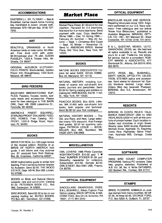#### **ACCOMMODATIONS**

**EASTERN L.I., NY, FLYWAY - Bed & Breakfast, barrier beach home fronting bay marshland & ocean, private bath, telescope, \$75-100 per day. (516) 727- 7345.** 

#### **ART**

**BEAUTIFUL DRAWINGS of North American birds on note cards. All different Free duck print with order. \$3 00/package plus .75 p&h. SUSAN PUGSLEY, 1224-A Timber Hills, Mt. Shasta, CA 96067.** 

**ORIGINAL AUDUBON ELEPHANT-FOLIO PRINTS: Black-bellied, Golden Plover. Info: Shaughnessy, 1025 Scott, M•dland, MI 48640.** 

#### **BIRD FEEDERS**

**BACKYARD BIRDWATCHING SUP-PLIES. Feeders, houses, books, specialty feeds and accessories. Please write for free catalogue to THE BARN OWL, Dept. AB, 2509 Lakeshore Dr., Fennville, MI 49408.** 

**AMERICA'S FINEST SQUIRREL/ STARLING-PROOF DIALABIRD FEED-ERS, HOMES. Free Catalog. KO-PECKY, 1220-S Ridge Road, Hypoluxo, FL 33462.** 

#### **BOOKS**

**BIRDS FOR REAL is a 100 page review**  of the revised edition, Robbins et al. **BIRDS OF NORTH AMERICA field guide. It will inform and may surprise you \$7. postpaid from Rich Stallcup, Box 36, Inverness, California 94937.** 

**NEW! Authoritative guide to winter bird feeding. First in series by former director NJ Audubon. Send \$2.65. THE WOOD ESTATE, Dept. AB-W, Box 588, Linden, NJ 07036.** 

**BOOKS on Birds and Natural History subjects, new and out-of-print. Catalog \$1 50. PETERSEN BOOK CO., Box 966, Davenport, IA 52805.** 

**BIRD BOOKS. Send \$2.00 to be on our catalog mailing list. BUTEO BOOKS, PO Box 481, Vermillion, SD 57069.** 

#### **Market Place**

**Market Place Rates: \$1.00/word for one**  insertion; 75¢/word for 2-3 insertions: **50C/word for 4 or more insertions. Send payment with copy. Copy deadlines: Winter 1985 -- Dec. 10; Spring 1986 --**  February 20; Summer - May 20; Au**tumn -- Sept. 1; Christmas Bird Count**  - Sept. 15; Winter - November 15. **Send to: AMERICAN BIRDS, Market Place, 950 Third Ave., New York, NY 10022.** 

#### **BOOKS**

**NATURE BOOKS DISCOUNTED! For price list send SASE. DOUG KIBBE, Box 34, Maryland, NY 12116.** 

**NATURAL HISTORY: including hundreds of scarce and out-of-print bird books, journals and pamphlets. Send \$2.00 for Spring catalog and addition to mailing list. HWK BOOKS, 540 W. 114th St., New York, NY 10025.** 

**PEACOCK BOOKS, Box 2024, Littleton, MA 01460 sells out-of-print bird books, both popular and technical. Send \$2.00 for your first catalogue.** 

**NATURAL HISTORY BOOKS - The Old, and Rare, and New. Large selection (many 10% discount). Also Foreign field guides. \$2.00 for quarterly cata**loque. PATRICIA LEDLIE - BOOK-**SELLER, Box 46A, Buckfield, ME 04220 (207) 336-2969.** 

#### **MISCELLANEOUS**

**OWL LOVERS: 1986 Photo Calendar, NIGHTWATCHER, \$10.00 ppd. "I Owls" BUMPER STICKER \$1.00 ppd. Bimonthly newsletter for collectors, Subscription \$12.50, Sample \$2.50. OWL'S NEST, Box 5491 (AB), Fresno, CA 93755.** 

#### **OPTICAL EQUIPMENT**

**BINOCULARS: SWAROVSKI, ZEISS, B & L, BUSHNELL, Nikon, Fujinon. Free Optics catalog. MACK OPTICAL & MA-CHINE TOOL, Box 541-B, Scranton, PA 18501. (717) 961-2542.** 

#### **OPTICAL EQUIPMENT**

**BINOCULAR SALES AND SERVICE Repairing binoculars since 1923. Alignment performed on our U.S. Navy colhmator. Free catalogue and our article "Know Your Binoculars," published •n Audubon Magazine. MIRAKEL OPTI-CAL CO., INC., 331 Mansion St., West Coxsackie, NY 12192 (518) 731-2610** 

**B & L, QUESTAR, MEADE, LEITZ, SWAROVSKI, ZEISS, etc. We field test all optics available to us. Results are yours for a call. Trade-ins, low prices,**  full service. Ask for a consultant. ROB-**ERT MANNS & ASSOCIATES, 877 Glenbrook Dr., Atlanta, GA 30318 (404) 352-3679.** 

**LEITZ, ZEISS, B&L, BUSHNELL, SWIFT, NIKON, OPTOLY'rH, CELES-TRON, STEINER optics and accessories. Send stamp for discount list. Specify literature desired. Large stock Orders filled day received. Postpaid BIRDING, Box 5-E, Amsterdam, NY 12010.** 

#### **RESORTS**

**BIRDING IN COSTA RICA'S TALA-MANCA RAINFOREST (300 m) AND HIGHLANDS (2500 m) with all the comforts of private homes. Each location •ncludes vast stretches of virgin forest Weekly rates: \$450 double. Rainforest Michael Snow, Apartado 73, Siquirres, Costa Rica; Highlands: Steve Friedman, Apartado 655, Cartago, Costa Rica.** 

#### **SOFTWARE**

**XMAS BIRD COUNT COMPUTER PROGRAM. Various PC versions. Data files, graphs, statistics. Published •n A.B. Vol. 38, No. 4. Write DATABIRD, 252 Baldwin Rd., Carlisle, MA 01741** 

#### **STAMPS**

**BIRDS, FLOWERS, ANIMALS on post**age stamps from many countries. 60 diff **\$1.00. All three \$2.65. GEORGE FORD, P.O. Box 5203-A, Gulfport, FL 33737**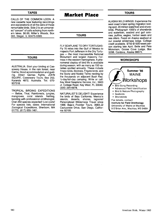#### **TAPES**

**CALLS OF THE COMMON LOON. A new cassette tape featuring recordings and explanations of all the calls of these remarkable birds. Side 2 is an unnarrated "concert" of calls echoing from northern lakes. \$6.00, Miller's Woods, Box 393, Steger, IL 60475-0393.** 

#### **TOURS**

**AUSTRALIA. Start your birding at Cassowary House, in the rain forest, near Cairns. Good accommodation and guiding. Direct Qantas flights. JOHN SQUIRE, Cassowary Tours, Box 252, Kuranda 4872, Australia. Tel. 070- 937318.** 

**TROPICAL BIRDING EXPEDITIONS -- Belize, Tikal, Rainforests, jungles,**  mangroves, coral islands. **banding with professional ornithologist. Over 250 species expected! Low costs! For species lists, dates: International Zoological Expeditions, Sherborn, MA 01770. (617) 655-1461.** 

#### **Market Place**

#### **TOURS**

**FLY SEAPLANE TO DRY TORTUGAS-Fly 70 miles into the Gulf of Mexico to majestic Fort Jefferson in the Dry Tortugas- the most inaccessible National Monument and largest masonry Fortress in the western hemisphere. A phenomenal display of bird life is available during season, with as many as 150 varieties spotted annually. These include Tropic birds, Boobies, Frigate birds, and the Sooty and Noddy Terns nesting by the thousands on adjacent Bush Key. 1/2-day/full-day camping; Write or call: Key West Seaplane Service, Inc., 5603 Jr. College Road, Key West, FL 33040. (305) 294-6978.** 

**NATURALIST'S DELIGHT! Experience the birds of Baja California, Mexico's islands, deserts, shores, lagoons! Personalized Wilderness Travel since 1966. Baja's Frontier Tours, 3683-J2 Cactusview Drive, San Diego, California 92105.** 

#### **TOURS**

**ALASKA WILD WINGS. Experience the**  west coast's best spring migration bird**ing spot. 20 million waterfowl and shore**birds. Photograph 1000's of shorebirds **and waterfowl, seabird and gull colonies, puffins, eagles, harbor seals and sea otters. Feast on Alaska seafood at our coastal wilderness lodge. College credit available. \$750-\$1500/week/person starting late April. Belle and Pete Mickelson, Goose Cove Lodge, Box 325B, Cordova, Alaska 99574.** 

#### **WORKSHOPS**

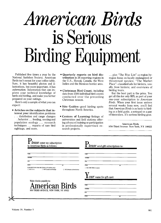# **American Birds is Serious Birding Equipment**

Published five times a year by the **National Audubon Society, American**  Birds isn't meant for your coffee table. **Sure, it has beautiful photos and illustrations, but more important, it has**  *information*. Information that can im**prove your technical knowledge of b•rds and birding, and make you better prepared on your outings.** 

**Here's only a sample of what you can expect:** 

**ß Articles on the subjects that interest you: identification problems ß . distribution and range changes ß** 

**ß behavior... feeding, nesting and population ecology ... research techniques ... reports of rare bird sightings, and more.** 

- **Quarterly reports on bird distribution in 26 reporting regions in the U.S., Hawaii, Canada, the West Indies and the Mexican border area.**
- **Christmas Bird Count, including data from 1500 individual bird counts conducted over the preceding Christmas season.**
- **ß Site Guides-good birding spots throughout North America.**
- **Centers of Learning-listings of universities and field stations offering advanced training or participation in professionally supervised research projects.**

**... plus "The Blue List"-a region-byregion focus on locally endangered or threatened species; "The Market Place"-classified ads for birders, usually from birders; and overviews of birding tours.** 

**But the best part is the price. You get all this for only \$25, as part of your one-year subscription to American Birds. When your first issue arrives several weeks from now, you'll find thatAmerican Birds is as basic to birding as a field guide, a notepad or a pair of binoculars. It's serious birding gear.** 

**American Birds 950 Third Avenue New York, NY 10022** 

| to American Birds as follows:                                                                                                             | $\boldsymbol{\Gamma}$ lease send gift subscriptions to: |
|-------------------------------------------------------------------------------------------------------------------------------------------|---------------------------------------------------------|
| <b>NAME</b>                                                                                                                               | <b>NAME</b>                                             |
| <b>ADDRESS</b>                                                                                                                            | <b>ADDRESS</b>                                          |
| CITY                                                                                                                                      | $\overline{\text{CTY}}$                                 |
| <b>STATE</b><br>$\overline{z}$                                                                                                            | <b>STATE</b><br>ZIP                                     |
| SUBSCRIPTIONS FOR ONE YEAR (in US dollars only):<br>$\square$ \$25 U.S.A.<br>□ \$30 Canada and Foreign<br>□ \$32 Libraries & Institutions | $\Box$ \$25 ONE YEAR (5 issues)                         |
|                                                                                                                                           | $L$ <i>OUY</i> name for gift card:                      |
| Make checks payable to:                                                                                                                   |                                                         |
| <b>American Birds</b>                                                                                                                     | <b>NAME</b>                                             |
| 950 THIRD AVENUE, NEW YORK, NY 10022                                                                                                      | <b>ADDRESS</b>                                          |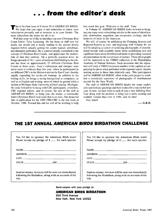#### **ß.. from the editor's desk**

**We his is the final issue of Volume 39 of AMERICAN BIRDS.** We hope that you enjoy it and remember to renew your **subscription promptly and to promote us to your friends. The more subscribers the better for all of us.** 

**With this issue we'd like to introduce our new Christmas Bird Count Editor, Tony Leukering. He has been on staff now for nearly one month and is busily tending to the myriad details required before actually getting the counts typeset, proofread, and ultimately published. He is a person deeply committed to the concept of Christmas Bird Counts, and appreciates the motherlode of data they embody. On a perfectly practical level, he brings upwards of 10 + years ofhardcore field birding to the job, and has been on approximately 25 different Christmas Bird Counts in those years. Tony's enthusiasm and energies were never more in evidence than this year, when he participated in six different CBCs in the Midwest and on the East Coast, thereby rapidly expanding his on-the-job training. In addition to his birding skills, he brings a strong background in computers, as well as in English and writing, most of which he gained while a student at Michigan State University in East Lansing, Michigan. He looks forward to working with CBC participants, compilers, CBC regional editors, and of course, the rest of the staff at AMERICAN BIRDS, to bring you, the reader, a continually better Christmas Bird Count issue that is on time. Our projected date of publication for the 1985-1986 CBC is the last week in October, 1986. Toward this end we will all be working to help**  **him reach this goal. Welcome to the staff, Tony.** 

**In Volume 40, AMERICAN BIRDS looks forward to bringing you many more stimulating articles in the areas of identification, distribution, migration, rare occurrence, ecology, and the behavior of birds in the Americas.** 

**We will, of course, be publishing the Changing Seasons and Regional Reports as ever, and beginning with Volume 40, we will be adopting a system of archiving photographs of distributional records with scientific merit; those establishing new and significant facts about distributional limits or providing essential documentation for the occurrence of rarities. These photographs will be deposited in the VIREO collection at the Philadelphia Academy of Natural Sciences. Each accession into the reposi**tory will carry a VIREO accession number in the caption accom**panying the photo when published in the regional report, thereby making access to those data relatively easy. This participation will be AMERICAN BIRDS' effort in the joint project to establish a centralized repository of photographs of distributional records for the New World.** 

**The staff of AMERICAN BIRDS thanks the many readers who sent holiday greetings and best wishes for a successful new year. In turn, we here wish to each of you a very fulfilling New Year along with the promise to bring you a more exciting and readable volume than ever in 1986, and on time!** 

**Stay tuned!** 

 $-S.R.D.$ 

#### **THE 1ST ANNUAL AMERICAN BIRDS BIRDATHON CHALLENGE**

| Yes, I'd like to sponsor the American Birds team!     | Yes, I'd like to sponsor the American Birds team!                                                                                                                                                                              |  |
|-------------------------------------------------------|--------------------------------------------------------------------------------------------------------------------------------------------------------------------------------------------------------------------------------|--|
| Please accept my pledge of \$___ for each species.    | Please accept my pledge of \$___ for each species.                                                                                                                                                                             |  |
| NAME                                                  | <b>NAME</b>                                                                                                                                                                                                                    |  |
|                                                       | ADDRESS                                                                                                                                                                                                                        |  |
|                                                       | CITY THE CONTROL CONTROL CONTROL CONTROL CONTROL CONTROL CONTROL CONTROL CONTROL CONTROL CONTROL CONTROL CONTROL CONTROL CONTROL CONTROL CONTROL CONTROL CONTROL CONTROL CONTROL CONTROL CONTROL CONTROL CONTROL CONTROL CONTR |  |
| <b>STATE</b>                                          |                                                                                                                                                                                                                                |  |
| <b>ZIP</b>                                            | ZIP                                                                                                                                                                                                                            |  |
| Send no money, invoices will be sent out immediately  | Send no money, invoices will be sent out immediately                                                                                                                                                                           |  |
| following the Birdathon, along with an account of the | following the Birdathon, along with an account of the                                                                                                                                                                          |  |
| trip.                                                 | trip.                                                                                                                                                                                                                          |  |

**Send coupon with your pledge to:** 

#### **AMERICAN BIRDS BIRDATHON**

**950 Third Avenue New York, New York 10022**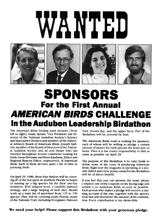# VTED









### **SPONSORS For the First Annual AMERICAN BIRDS CHALLENGE In the Audubon Leadership Birdathon**

**The American Birds birding team includes (from left to right), Sandy Sprunt, Vice President and Director of the National Audubon Society's Science and Sanctuaries Division and member of the Editorial Advisory Board of American Birds; Joseph Siphron, member of the Board of Directors of the National Audubon Society and an avid birder who has traveled throughout several continents looking for birds; Susan Drennan and Kenn Kaufman, Editor and Regional Reports Editor, respectively, of American Birds. Each of them devotes quite a bit of time to pursuing birds.** 

**On April 29, 1986, these four birders will be covering all of the hot-spots in southern Florida in hopes of running up a big species list for their one-day birdathon. With diligent work, a carefully planned strategy, and a large helping of luck they should work up a team list of anywhere from 135 to 150 species. They will be covering south Florida, south of the Tamiami Trail, including Everglades National** 

**Park, Florida Bay, and the upper Keys. Part of the Birdathon will be covered by boat.** 

**The American Birds team is looking for sponsors, each of whom will be willing to pledge a certain amount of money for each species the team sees or hears. Then it is the team's responsibility to find as many as possible on April 29.** 

**The purpose of this Birdathon is to raise funds to defray some of the costs of producing American Birds. Right now the magazine is operating at a sizeable deficit and every penny earned in the Birdathon will be of direct benefit.** 

**If you feel that you can sponsor the team, please complete one of the coupons on the facing page and submit it to American Birds as soon as possible. Each person who makes a pledge will receive a running account of the trip, together with the species total that will determine the amount of his contribution. Every contribution is tax deductible.** 

#### **We need your help!! Please support this Birdathon with your generous pledge.**